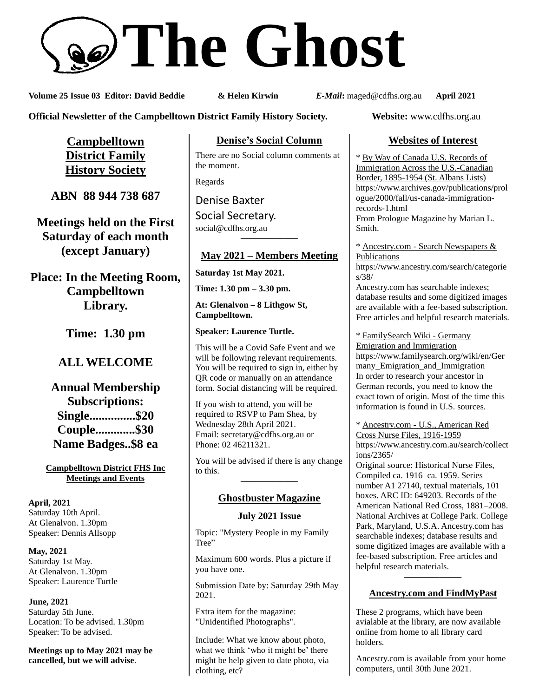# **The Ghost**

**Volume 25 Issue 03 Editor: David Beddie & Helen Kirwin** *E-Mail***:** maged@cdfhs.org.au **April 2021**

**Official Newsletter of the Campbelltown District Family History Society. Website:** www.cdfhs.org.au

**Campbelltown District Family History Society**

**ABN 88 944 738 687**

**Meetings held on the First Saturday of each month (except January)**

**Place: In the Meeting Room, Campbelltown Library.**

**Time: 1.30 pm**

# **ALL WELCOME**

**Annual Membership Subscriptions: Single...............\$20 Couple.............\$30 Name Badges..\$8 ea**

**Campbelltown District FHS Inc Meetings and Events**

**April, 2021** Saturday 10th April. At Glenalvon. 1.30pm Speaker: Dennis Allsopp

**May, 2021** Saturday 1st May. At Glenalvon. 1.30pm Speaker: Laurence Turtle

**June, 2021** Saturday 5th June. Location: To be advised. 1.30pm Speaker: To be advised.

**Meetings up to May 2021 may be cancelled, but we will advise**.

**Denise's Social Column**

There are no Social column comments at the moment.

Regards

Denise Baxter

Social Secretary. [social@cdfhs.org.au](mailto:social@cdfhs.org.au) **——————–**

# **May 2021 – Members Meeting**

**Saturday 1st May 2021.**

**Time: 1.30 pm – 3.30 pm.**

**At: Glenalvon – 8 Lithgow St, Campbelltown.**

**Speaker: Laurence Turtle.**

This will be a Covid Safe Event and we will be following relevant requirements. You will be required to sign in, either by QR code or manually on an attendance form. Social distancing will be required.

If you wish to attend, you will be required to RSVP to Pam Shea, by Wednesday 28th April 2021. Email: [secretary@cdfhs.org.au](mailto:secretary@cdfhs.org.au) or Phone: 02 46211321.

You will be advised if there is any change to this. **——————–**

# **Ghostbuster Magazine**

### **July 2021 Issue**

Topic: "Mystery People in my Family Tree"

Maximum 600 words. Plus a picture if you have one.

Submission Date by: Saturday 29th May 2021.

Extra item for the magazine: "Unidentified Photographs".

Include: What we know about photo, what we think 'who it might be' there might be help given to date photo, via clothing, etc?

# **Websites of Interest**

\* By Way of Canada U.S. Records of Immigration Across the U.S.-Canadian Border, 1895-1954 (St. Albans Lists) https://www.archives.gov/publications/prol ogue/2000/fall/us-canada-immigrationrecords-1.html From Prologue Magazine by Marian L. Smith.

\* Ancestry.com - Search Newspapers & Publications

https://www.ancestry.com/search/categorie s/38/

Ancestry.com has searchable indexes; database results and some digitized images are available with a fee-based subscription. Free articles and helpful research materials.

\* FamilySearch Wiki - Germany

Emigration and Immigration https://www.familysearch.org/wiki/en/Ger many\_Emigration\_and\_Immigration In order to research your ancestor in German records, you need to know the exact town of origin. Most of the time this information is found in U.S. sources.

\* Ancestry.com - U.S., American Red Cross Nurse Files, 1916-1959 https://www.ancestry.com.au/search/collect ions/2365/

Original source: Historical Nurse Files, Compiled ca. 1916–ca. 1959. Series number A1 27140, textual materials, 101 boxes. ARC ID: 649203. Records of the American National Red Cross, 1881–2008. National Archives at College Park. College Park, Maryland, U.S.A. Ancestry.com has searchable indexes; database results and some digitized images are available with a fee-based subscription. Free articles and helpful research materials. **——————–**

# **Ancestry.com and FindMyPast**

These 2 programs, which have been avialable at the library, are now available online from home to all library card holders.

Ancestry.com is available from your home computers, until 30th June 2021.